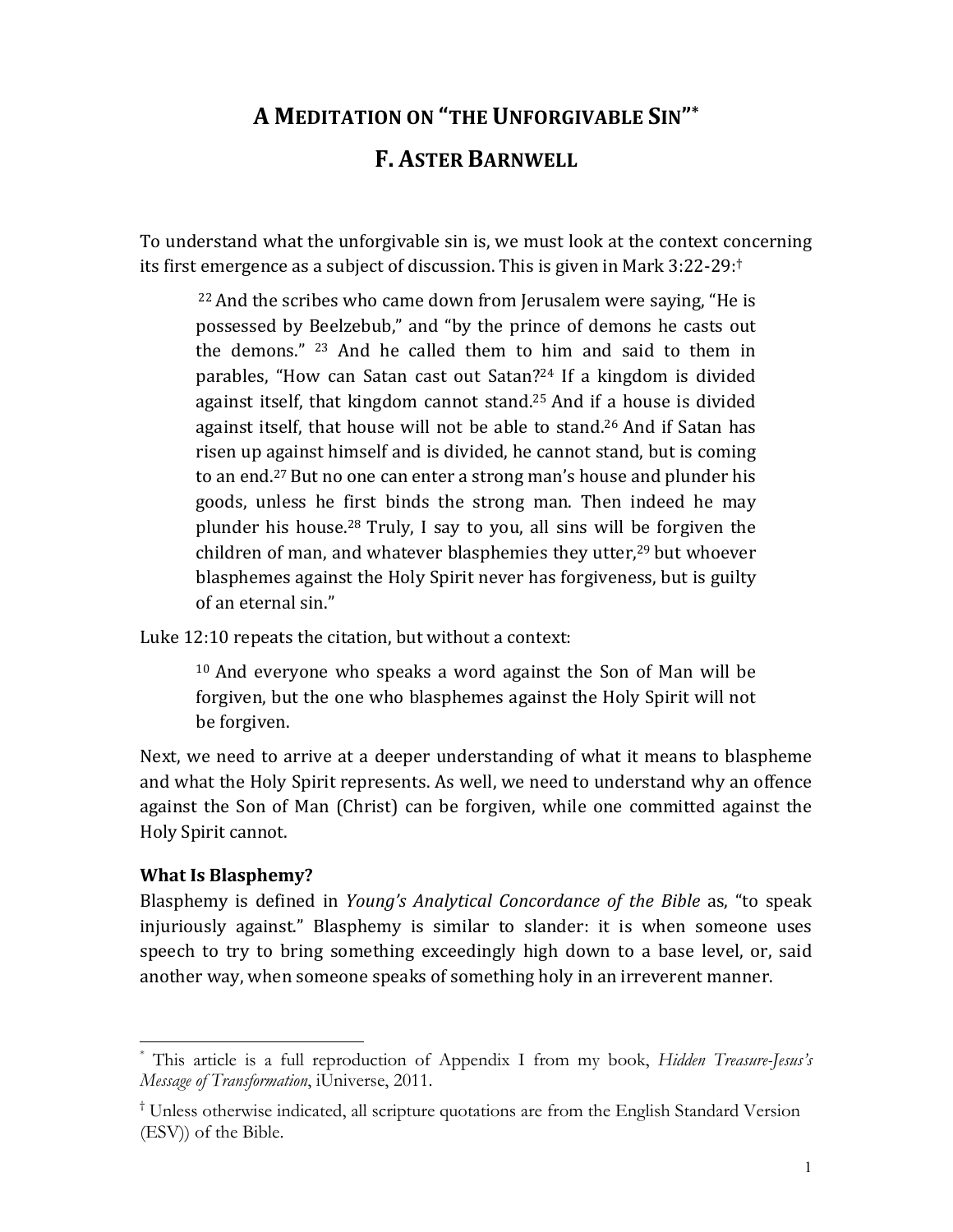# **A MEDITATION ON "THE UNFORGIVABLE SIN"\***

## **F. ASTER BARNWELL**

To understand what the unforgivable sin is, we must look at the context concerning its first emergence as a subject of discussion. This is given in Mark 3:22-29:<sup>†</sup>

<sup>22</sup> And the scribes who came down from Jerusalem were saying, "He is possessed by Beelzebub," and "by the prince of demons he casts out the demons." <sup>23</sup> And he called them to him and said to them in parables, "How can Satan cast out Satan?<sup>24</sup> If a kingdom is divided against itself, that kingdom cannot stand.<sup>25</sup> And if a house is divided against itself, that house will not be able to stand.<sup>26</sup> And if Satan has risen up against himself and is divided, he cannot stand, but is coming to an end.<sup>27</sup> But no one can enter a strong man's house and plunder his goods, unless he first binds the strong man. Then indeed he may plunder his house.<sup>28</sup> Truly, I say to you, all sins will be forgiven the children of man, and whatever blasphemies they utter,<sup>29</sup> but whoever blasphemes against the Holy Spirit never has forgiveness, but is guilty of an eternal sin."

Luke 12:10 repeats the citation, but without a context:

<sup>10</sup> And everyone who speaks a word against the Son of Man will be forgiven, but the one who blasphemes against the Holy Spirit will not be forgiven.

Next, we need to arrive at a deeper understanding of what it means to blaspheme and what the Holy Spirit represents. As well, we need to understand why an offence against the Son of Man (Christ) can be forgiven, while one committed against the Holy Spirit cannot.

### **What Is Blasphemy?**

Blasphemy is defined in Young's Analytical Concordance of the Bible as, "to speak injuriously against." Blasphemy is similar to slander: it is when someone uses speech to try to bring something exceedingly high down to a base level, or, said another way, when someone speaks of something holy in an irreverent manner.

This article is a full reproduction of Appendix I from my book, Hidden Treasure-Jesus's Message of Transformation, iUniverse, 2011.

<sup>&</sup>lt;sup>†</sup> Unless otherwise indicated, all scripture quotations are from the English Standard Version (ESV) of the Bible.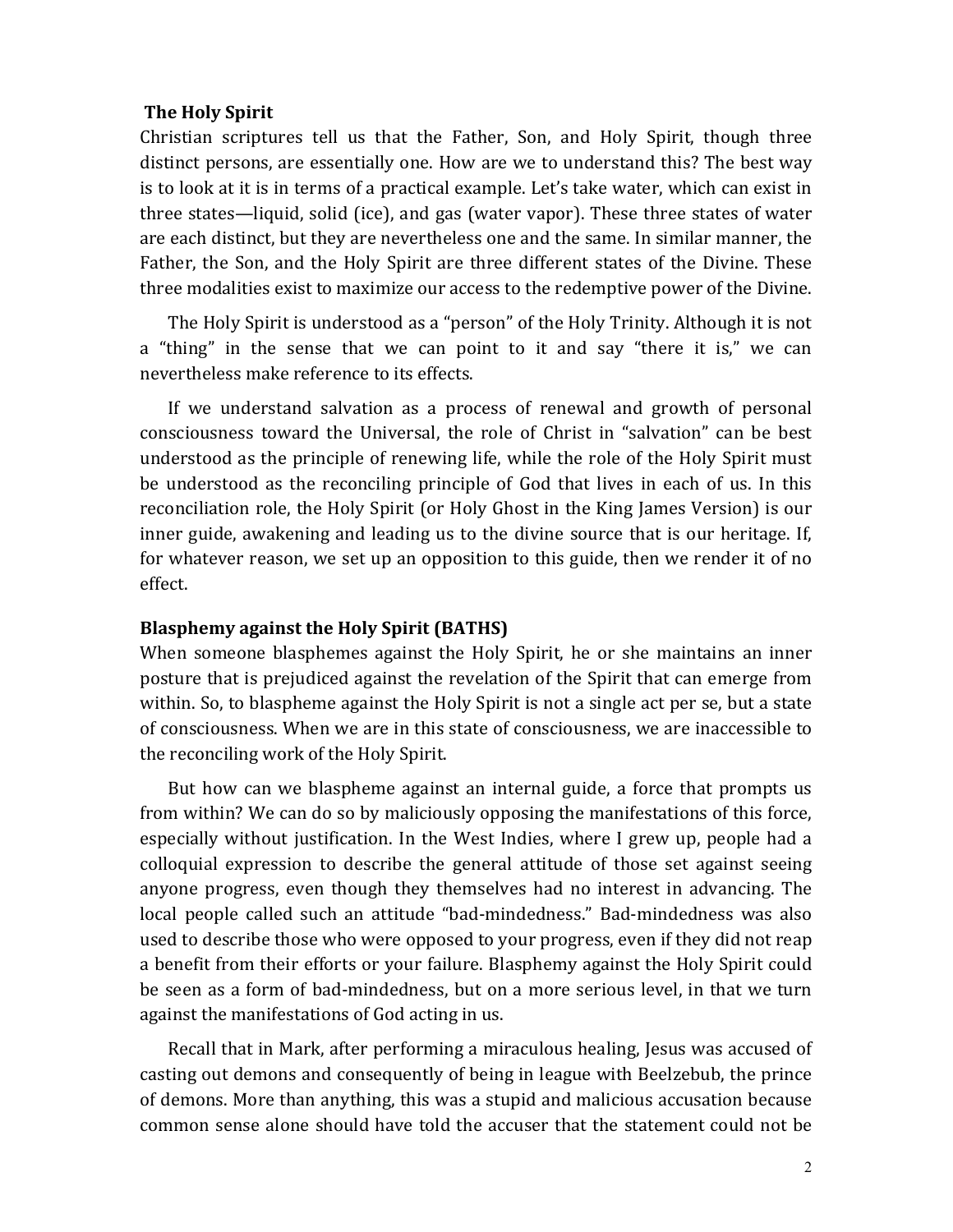#### **The Holy Spirit**

Christian scriptures tell us that the Father, Son, and Holy Spirit, though three distinct persons, are essentially one. How are we to understand this? The best way is to look at it is in terms of a practical example. Let's take water, which can exist in three states—liquid, solid (ice), and gas (water vapor). These three states of water are each distinct, but they are nevertheless one and the same. In similar manner, the Father, the Son, and the Holy Spirit are three different states of the Divine. These three modalities exist to maximize our access to the redemptive power of the Divine.

The Holy Spirit is understood as a "person" of the Holy Trinity. Although it is not a "thing" in the sense that we can point to it and say "there it is," we can nevertheless make reference to its effects.

If we understand salvation as a process of renewal and growth of personal consciousness toward the Universal, the role of Christ in "salvation" can be best understood as the principle of renewing life, while the role of the Holy Spirit must be understood as the reconciling principle of God that lives in each of us. In this reconciliation role, the Holy Spirit (or Holy Ghost in the King James Version) is our inner guide, awakening and leading us to the divine source that is our heritage. If, for whatever reason, we set up an opposition to this guide, then we render it of no effect.#

#### **Blasphemy against the Holy Spirit (BATHS)**

When someone blasphemes against the Holy Spirit, he or she maintains an inner posture that is prejudiced against the revelation of the Spirit that can emerge from within. So, to blaspheme against the Holy Spirit is not a single act per se, but a state of consciousness. When we are in this state of consciousness, we are inaccessible to the reconciling work of the Holy Spirit.

But how can we blaspheme against an internal guide, a force that prompts us from within? We can do so by maliciously opposing the manifestations of this force, especially without justification. In the West Indies, where I grew up, people had a colloquial expression to describe the general attitude of those set against seeing anyone progress, even though they themselves had no interest in advancing. The local people called such an attitude "bad-mindedness." Bad-mindedness was also used to describe those who were opposed to your progress, even if they did not reap a benefit from their efforts or your failure. Blasphemy against the Holy Spirit could be seen as a form of bad-mindedness, but on a more serious level, in that we turn against the manifestations of God acting in us.

Recall that in Mark, after performing a miraculous healing, Jesus was accused of casting out demons and consequently of being in league with Beelzebub, the prince of demons. More than anything, this was a stupid and malicious accusation because common sense alone should have told the accuser that the statement could not be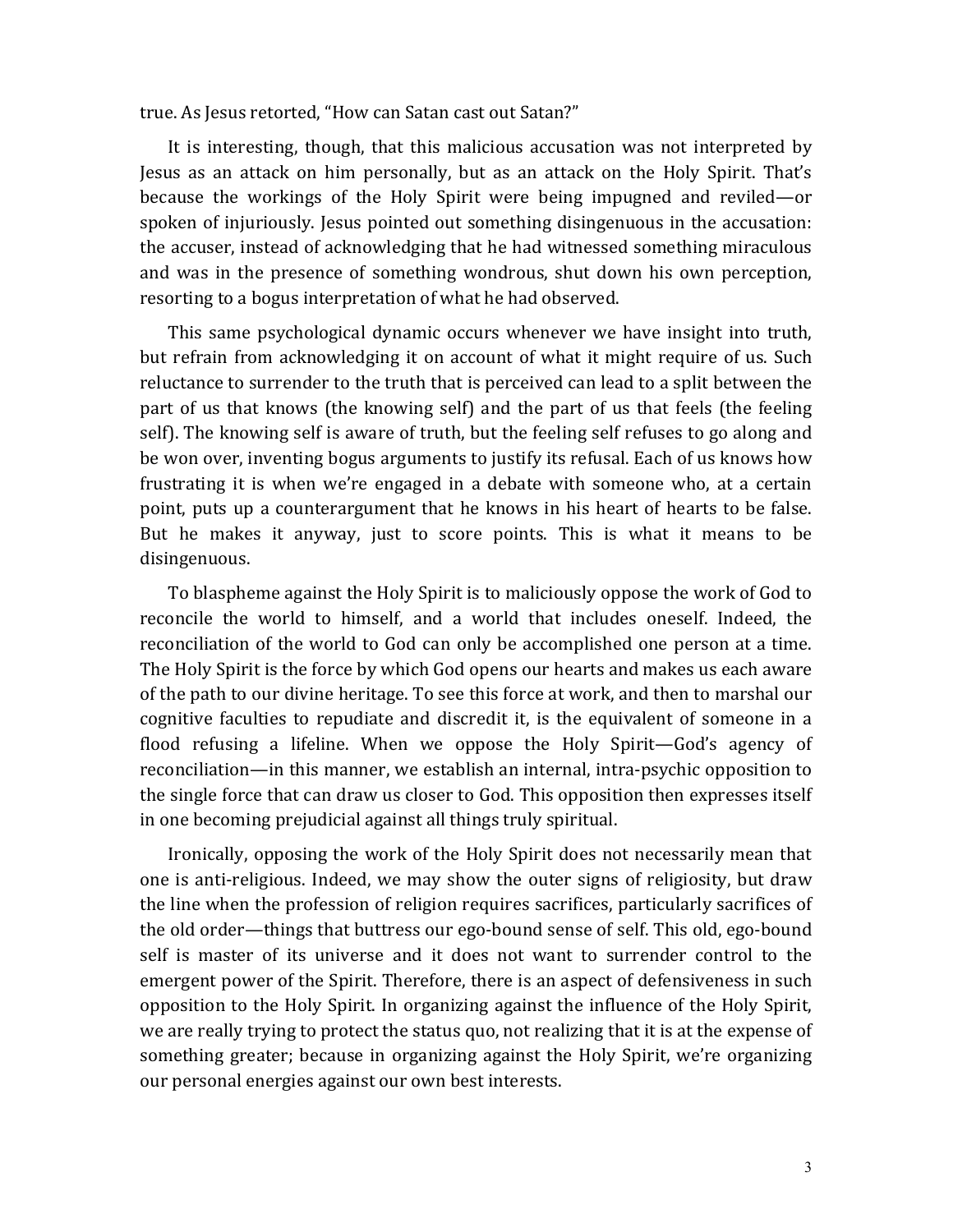true. As Jesus retorted, "How can Satan cast out Satan?"

It is interesting, though, that this malicious accusation was not interpreted by Jesus as an attack on him personally, but as an attack on the Holy Spirit. That's because the workings of the Holy Spirit were being impugned and reviled—or spoken of injuriously. Jesus pointed out something disingenuous in the accusation: the accuser, instead of acknowledging that he had witnessed something miraculous and was in the presence of something wondrous, shut down his own perception, resorting to a bogus interpretation of what he had observed.

This same psychological dynamic occurs whenever we have insight into truth, but refrain from acknowledging it on account of what it might require of us. Such reluctance to surrender to the truth that is perceived can lead to a split between the part of us that knows (the knowing self) and the part of us that feels (the feeling self). The knowing self is aware of truth, but the feeling self refuses to go along and be won over, inventing bogus arguments to justify its refusal. Each of us knows how frustrating it is when we're engaged in a debate with someone who, at a certain point, puts up a counterargument that he knows in his heart of hearts to be false. But he makes it anyway, just to score points. This is what it means to be disingenuous.#

To blaspheme against the Holy Spirit is to maliciously oppose the work of God to reconcile the world to himself, and a world that includes oneself. Indeed, the reconciliation of the world to God can only be accomplished one person at a time. The Holy Spirit is the force by which God opens our hearts and makes us each aware of the path to our divine heritage. To see this force at work, and then to marshal our cognitive faculties to repudiate and discredit it, is the equivalent of someone in a flood refusing a lifeline. When we oppose the Holy Spirit—God's agency of reconciliation—in this manner, we establish an internal, intra-psychic opposition to the single force that can draw us closer to God. This opposition then expresses itself in one becoming prejudicial against all things truly spiritual.

Ironically, opposing the work of the Holy Spirit does not necessarily mean that one is anti-religious. Indeed, we may show the outer signs of religiosity, but draw the line when the profession of religion requires sacrifices, particularly sacrifices of the old order—things that buttress our ego-bound sense of self. This old, ego-bound self is master of its universe and it does not want to surrender control to the emergent power of the Spirit. Therefore, there is an aspect of defensiveness in such opposition to the Holy Spirit. In organizing against the influence of the Holy Spirit, we are really trying to protect the status quo, not realizing that it is at the expense of something greater; because in organizing against the Holy Spirit, we're organizing our personal energies against our own best interests.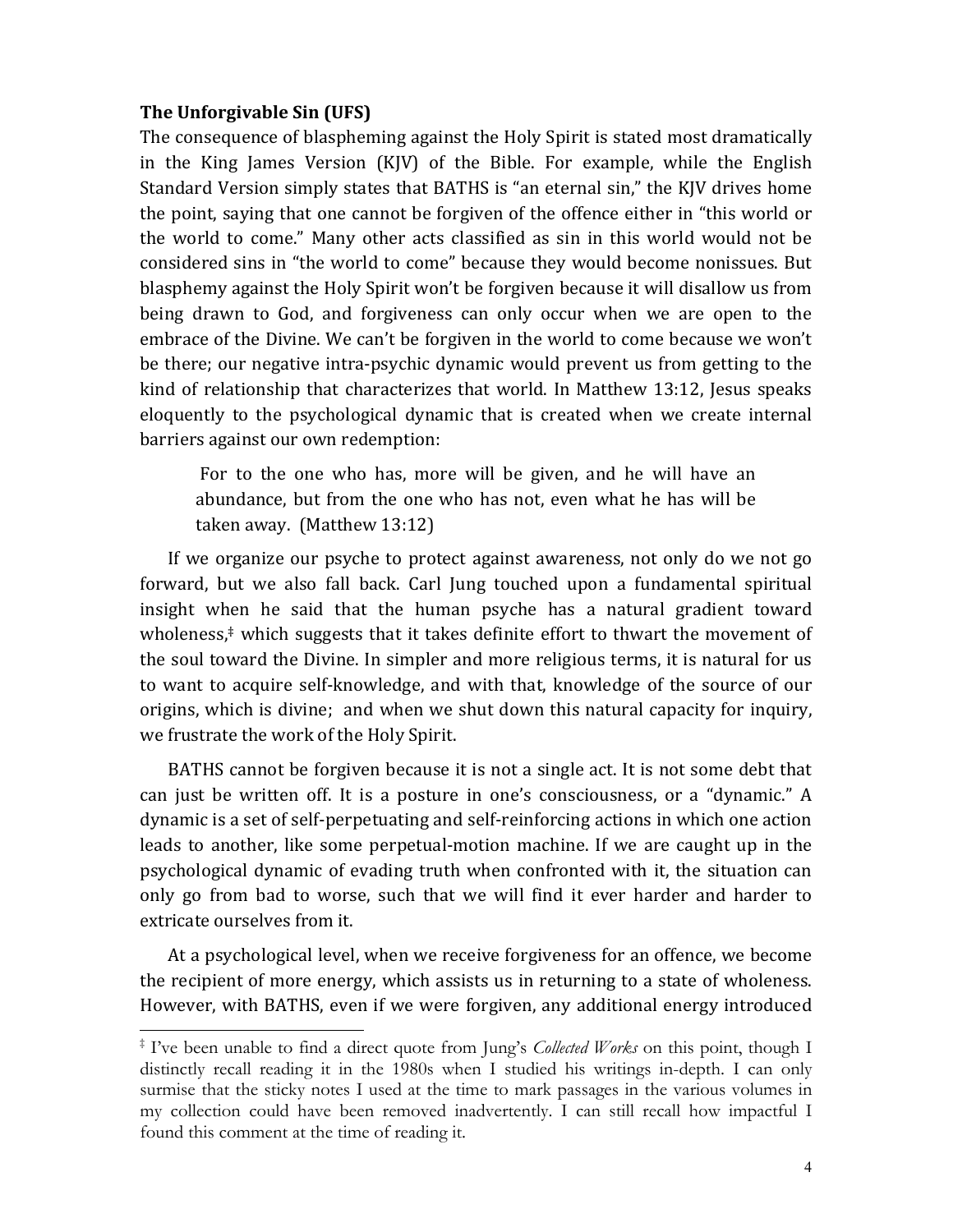#### The Unforgivable Sin (UFS)

The consequence of blaspheming against the Holy Spirit is stated most dramatically in the King James Version (KJV) of the Bible. For example, while the English Standard Version simply states that BATHS is "an eternal sin," the KJV drives home the point, saying that one cannot be forgiven of the offence either in "this world or the world to come." Many other acts classified as sin in this world would not be considered sins in "the world to come" because they would become nonissues. But blasphemy against the Holy Spirit won't be forgiven because it will disallow us from being drawn to God, and forgiveness can only occur when we are open to the embrace of the Divine. We can't be forgiven in the world to come because we won't be there; our negative intra-psychic dynamic would prevent us from getting to the kind of relationship that characterizes that world. In Matthew 13:12, Jesus speaks eloquently to the psychological dynamic that is created when we create internal barriers against our own redemption:

For to the one who has, more will be given, and he will have an abundance, but from the one who has not, even what he has will be taken away. (Matthew 13:12)

If we organize our psyche to protect against awareness, not only do we not go forward, but we also fall back. Carl Jung touched upon a fundamental spiritual insight when he said that the human psyche has a natural gradient toward wholeness,<sup>‡</sup> which suggests that it takes definite effort to thwart the movement of the soul toward the Divine. In simpler and more religious terms, it is natural for us to want to acquire self-knowledge, and with that, knowledge of the source of our origins, which is divine; and when we shut down this natural capacity for inquiry, we frustrate the work of the Holy Spirit.

BATHS cannot be forgiven because it is not a single act. It is not some debt that can just be written off. It is a posture in one's consciousness, or a "dynamic." A dynamic is a set of self-perpetuating and self-reinforcing actions in which one action leads to another, like some perpetual-motion machine. If we are caught up in the psychological dynamic of evading truth when confronted with it, the situation can only go from bad to worse, such that we will find it ever harder and harder to extricate ourselves from it.

At a psychological level, when we receive forgiveness for an offence, we become the recipient of more energy, which assists us in returning to a state of wholeness. However, with BATHS, even if we were forgiven, any additional energy introduced

<sup>&</sup>lt;sup>‡</sup> I've been unable to find a direct quote from Jung's *Collected Works* on this point, though I distinctly recall reading it in the 1980s when I studied his writings in-depth. I can only surmise that the sticky notes I used at the time to mark passages in the various volumes in my collection could have been removed inadvertently. I can still recall how impactful I found this comment at the time of reading it.